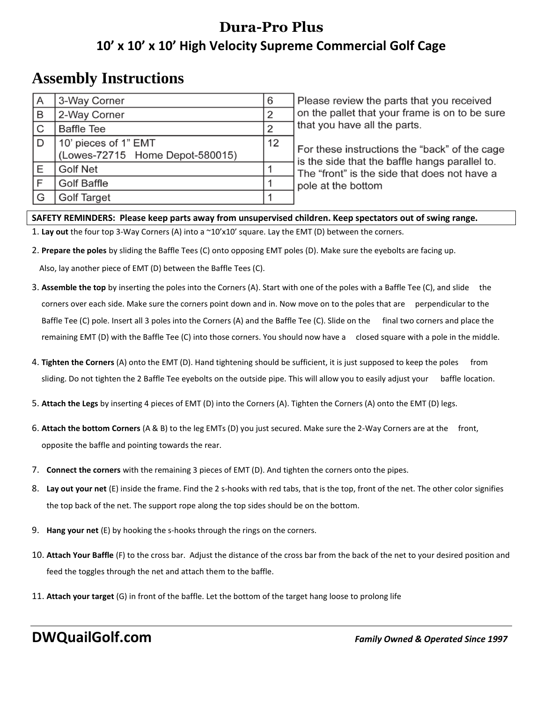## **Dura-Pro Plus 10' x 10' x 10' High Velocity Supreme Commercial Golf Cage**

## **Assembly Instructions**

| A                       | 3-Way Corner                    | 6  |
|-------------------------|---------------------------------|----|
| $\mathsf B$             | 2-Way Corner                    | 2  |
| $\overline{C}$          | <b>Baffle Tee</b>               | 2  |
| $\overline{D}$          | 10' pieces of 1" EMT            | 12 |
|                         | (Lowes-72715 Home Depot-580015) |    |
| Ε                       | <b>Golf Net</b>                 |    |
| $\overline{\mathsf{F}}$ | <b>Golf Baffle</b>              |    |
| G                       | <b>Golf Target</b>              |    |

Please review the parts that you received on the pallet that your frame is on to be sure that you have all the parts.

For these instructions the "back" of the cage is the side that the baffle hangs parallel to. The "front" is the side that does not have a pole at the bottom

## **SAFETY REMINDERS: Please keep parts away from unsupervised children. Keep spectators out of swing range.**

1. **Lay out** the four top 3-Way Corners (A) into a ~10'x10' square. Lay the EMT (D) between the corners.

2. **Prepare the poles** by sliding the Baffle Tees (C) onto opposing EMT poles (D). Make sure the eyebolts are facing up.

Also, lay another piece of EMT (D) between the Baffle Tees (C).

- 3. **Assemble the top** by inserting the poles into the Corners (A). Start with one of the poles with a Baffle Tee (C), and slide the corners over each side. Make sure the corners point down and in. Now move on to the poles that are perpendicular to the Baffle Tee (C) pole. Insert all 3 poles into the Corners (A) and the Baffle Tee (C). Slide on the final two corners and place the remaining EMT (D) with the Baffle Tee (C) into those corners. You should now have a closed square with a pole in the middle.
- 4. **Tighten the Corners** (A) onto the EMT (D). Hand tightening should be sufficient, it is just supposed to keep the poles from sliding. Do not tighten the 2 Baffle Tee eyebolts on the outside pipe. This will allow you to easily adjust your baffle location.
- 5. **Attach the Legs** by inserting 4 pieces of EMT (D) into the Corners (A). Tighten the Corners (A) onto the EMT (D) legs.
- 6. **Attach the bottom Corners** (A & B) to the leg EMTs (D) you just secured. Make sure the 2-Way Corners are at the front, opposite the baffle and pointing towards the rear.
- 7. **Connect the corners** with the remaining 3 pieces of EMT (D). And tighten the corners onto the pipes.
- 8. **Lay out your net** (E) inside the frame. Find the 2 s-hooks with red tabs, that is the top, front of the net. The other color signifies the top back of the net. The support rope along the top sides should be on the bottom.
- 9. **Hang your net** (E) by hooking the s-hooks through the rings on the corners.
- 10. **Attach Your Baffle** (F) to the cross bar. Adjust the distance of the cross bar from the back of the net to your desired position and feed the toggles through the net and attach them to the baffle.
- 11. **Attach your target** (G) in front of the baffle. Let the bottom of the target hang loose to prolong life

**DWQuailGolf.com** *Family Owned & Operated Since 1997*